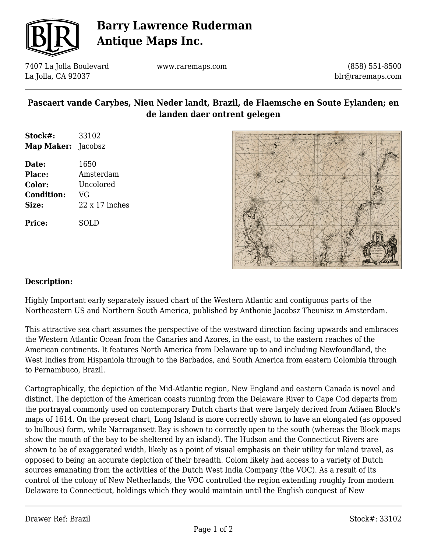

# **Barry Lawrence Ruderman Antique Maps Inc.**

7407 La Jolla Boulevard La Jolla, CA 92037

www.raremaps.com

(858) 551-8500 blr@raremaps.com

### **Pascaert vande Carybes, Nieu Neder landt, Brazil, de Flaemsche en Soute Eylanden; en de landen daer ontrent gelegen**

| Stock#:                   | 33102 |
|---------------------------|-------|
| <b>Map Maker:</b> Jacobsz |       |

**Date:** 1650 **Place:** Amsterdam **Color:** Uncolored **Condition:** VG **Size:** 22 x 17 inches

**Price:** SOLD



#### **Description:**

Highly Important early separately issued chart of the Western Atlantic and contiguous parts of the Northeastern US and Northern South America, published by Anthonie Jacobsz Theunisz in Amsterdam.

This attractive sea chart assumes the perspective of the westward direction facing upwards and embraces the Western Atlantic Ocean from the Canaries and Azores, in the east, to the eastern reaches of the American continents. It features North America from Delaware up to and including Newfoundland, the West Indies from Hispaniola through to the Barbados, and South America from eastern Colombia through to Pernambuco, Brazil.

Cartographically, the depiction of the Mid-Atlantic region, New England and eastern Canada is novel and distinct. The depiction of the American coasts running from the Delaware River to Cape Cod departs from the portrayal commonly used on contemporary Dutch charts that were largely derived from Adiaen Block's maps of 1614. On the present chart, Long Island is more correctly shown to have an elongated (as opposed to bulbous) form, while Narragansett Bay is shown to correctly open to the south (whereas the Block maps show the mouth of the bay to be sheltered by an island). The Hudson and the Connecticut Rivers are shown to be of exaggerated width, likely as a point of visual emphasis on their utility for inland travel, as opposed to being an accurate depiction of their breadth. Colom likely had access to a variety of Dutch sources emanating from the activities of the Dutch West India Company (the VOC). As a result of its control of the colony of New Netherlands, the VOC controlled the region extending roughly from modern Delaware to Connecticut, holdings which they would maintain until the English conquest of New